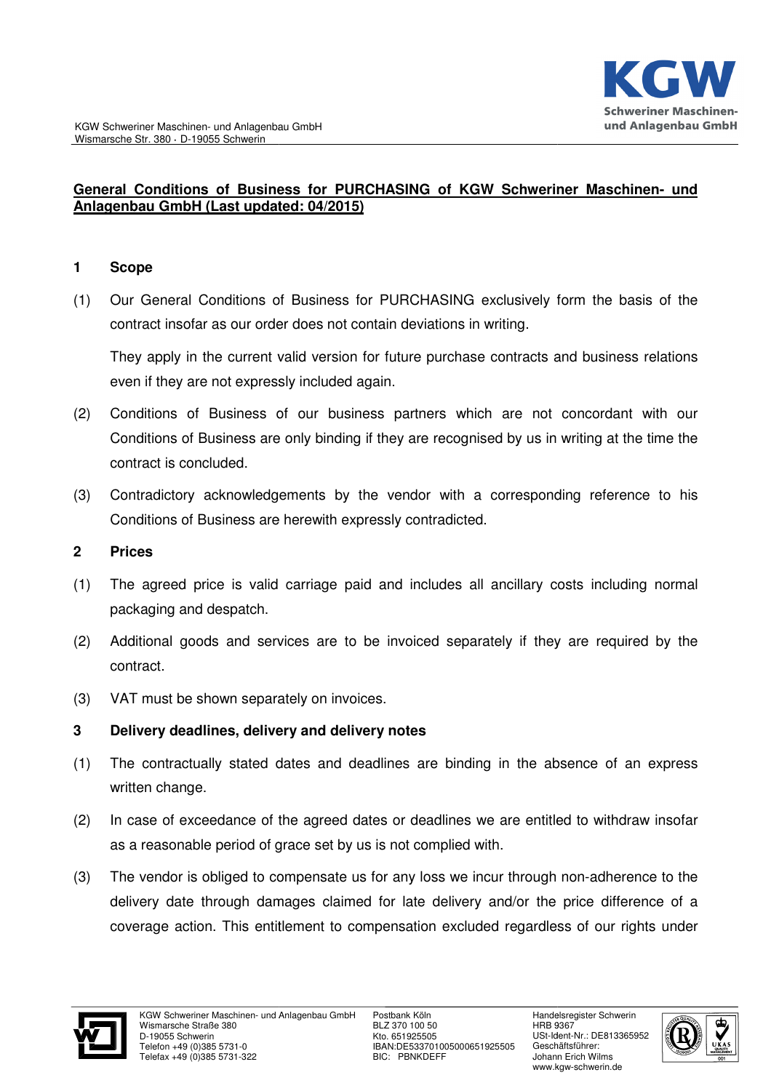#### General Conditions of Business for PURCHASING of KGW Schweriner Maschinen- und **Anlagenbau GmbH (Last updated Last updated: 04/2015)**

#### **1 Scope**

(1) Our General Conditions of Business for PURCHASING exclusively form the basis of the contract insofar as our order does not contain deviations in writing.

They apply in the current valid version for future purchase contracts a and business relations even if they are not expressly included again.

- (2) Conditions of Business of our business partners which are not concordant with our Conditions of Business are only binding if they are recognised by us in writing at the time the contract is concluded.
- (3) Contradictory acknowledgements by the vendor with a corresponding reference to his Conditions of Business are herewith expressly contradicted. (3) Contradictory acknowledgements by the vendor with a corresponding reference to his<br>
Conditions of Business are herewith expressly contradicted.<br>
2 Prices<br>
(1) The agreed price is valid carriage paid and includes all an

#### **2 Prices**

- packaging and despatch.
- (2) Additional goods and services are to be invoiced separately if they are required by the contract.
- (3) VAT must be shown separately on invoices.

## **3 Delivery deadlines, delivery delivery and delivery notes**

- (1) The contractually stated dates and deadlines are binding in the absence of an express written change.
- (2) In case of exceedance of the agreed dates or deadlines we are entitled to withdraw i insofar as a reasonable period of grace set by us is not complied with.
- (3) The vendor is obliged to compensate us for any loss we incur through non-adherence to the delivery date through damages claimed for late delivery a and/or the price difference of a coverage action. This entitlement to compensation excluded regardless of our rights under



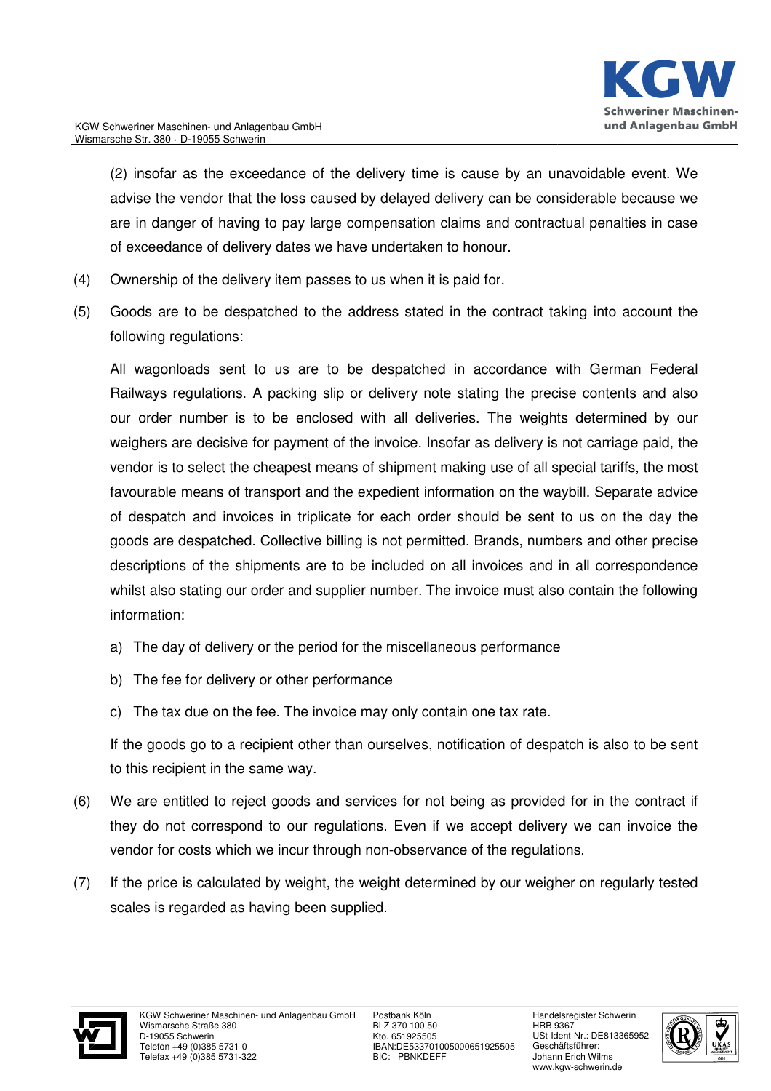

(2) insofar as the exceedance of the delivery time is cause by an unavoidable event. We advise the vendor that the loss caused by delayed delivery can be considerable considerable because we are in danger of having to pay large compensation claims and contractual penalties penalties in case of exceedance of delivery dates we have undertaken to honour honour.

- (4) Ownership of the delivery item passes to us when it is paid for.
- (5) Goods are to be despatched to the address stated in the contract taking into account the following regulations:

All wagonloads sent to us are to be despatched in accordance with German Federal Railways regulations. A packing slip or delivery note stating the precise contents and also our order number is to be enclosed with all deliveries. The weights determined by our weighers are decisive for payment of the invoice. Insofar as delivery is not carriage paid, the vendor is to select the cheapest means of shipment making use of all special tariffs, the most favourable means of transport and the expedient information on the waybill. Separate advice of despatch and invoices in triplicate for each order should be sent to us on the day the goods are despatched. Collective billing is not permitted. Brands, numbers and other precise descriptions of the shipments are to be included on all invoices and in all correspondence whilst also stating our order and supplier number. The invoice must also contain the following information:

- a) The day of delivery or the period for the miscellaneous performance
- b) The fee for delivery or other performance
- c) The tax due on the fee. The invoice may only contain one tax rate.

If the goods go to a recipient other than ourselves, notification of despatch is also to be sent to this recipient in the same way. If the goods go to a recipient other than ourselves, notification of despatch is also to be sent<br>to this recipient in the same way.<br>(6) We are entitled to reject goods and services for not being as provided for in the cont

- they do not correspond to our regulations. Even if we accept delivery we can invoice the they do not correspond to our regulations. Even if we accept delivery we<br>vendor for costs which we incur through non-observance of the regulations.
- (7) If the price is calculated by weight, the weight determined by our weigher on regularly tested scales is regarded as having been supplied.



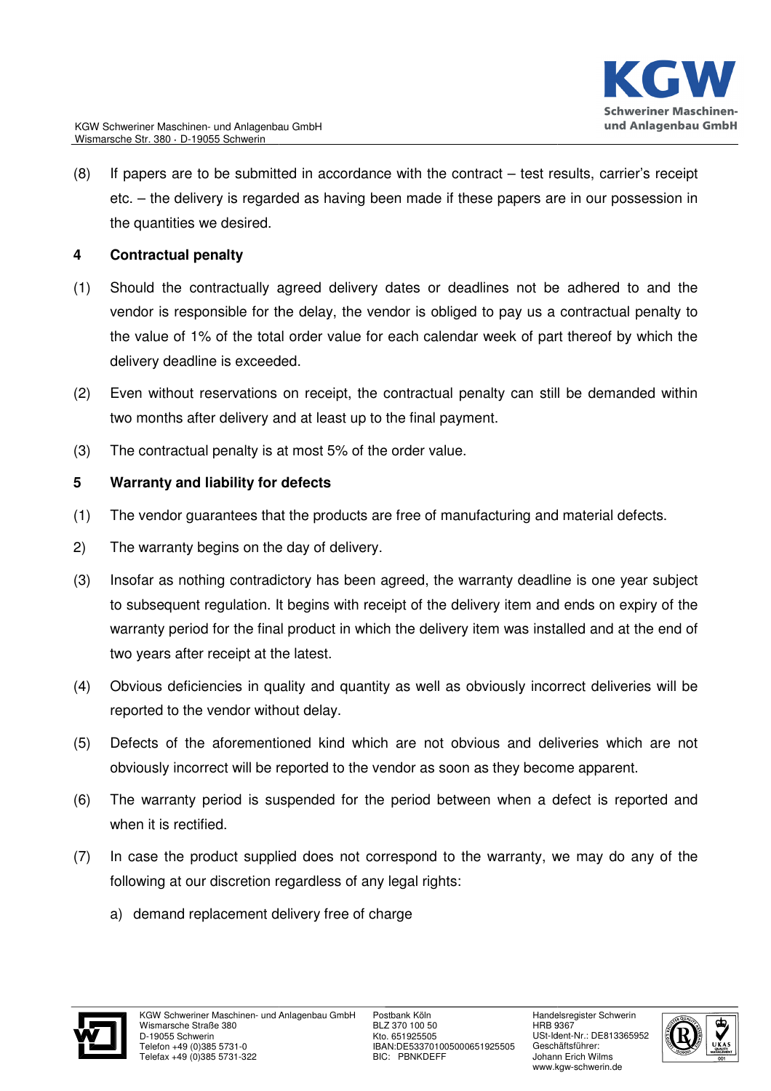

(8) If papers are to be submitted in accordance with the contract – test results, carrier's receipt etc. – the delivery is regarded as having been made if these papers are in our possession in the quantities we desired.

## **4 Contractual penalty**

- (1) Should the contractually agreed delivery dates or deadlines not be adhered to and the vendor is responsible for the delay, the vendor is obliged to pay us a contractual penalty to the value of 1% of the total order value for each calendar week of part thereof by which the delivery deadline is exceeded.
- (2) Even without reservations on receipt, the contractual penalty can still be demanded within two months after delivery and at least up to the final payment payment.
- (3) The contractual penalty is at most 5% of the order value.

#### **5 Warranty and liability for defects**

- (1) The vendor guarantees that the products are free of manufacturing and material defects.
- 2) The warranty begins on the day of delivery.
- (3) Insofar as nothing contradictory has been agreed, the warranty deadline is one year subject to subsequent regulation. It begins with receipt of the delivery item and ends on expiry of the warranty period for the final product in which the delivery item was installed and at the end of two years after receipt at the latest latest.
- (4) Obvious deficiencies in quality and quantity as well as obviously incorrect deliveries will be reported to the vendor without delay.
- (5) Defects of the aforementioned kind which are not obvious and deliveries which are not obviously incorrect will be reported to the vendor as soon as they become apparent.
- (6) The warranty period is suspended for the period between when a defect is reported and when it is rectified.
- (7) In case the product supplied does not correspond to the warranty, we may do any of the following at our discretion regardless of any legal rights:
	- a) demand replacement delivery free of charge



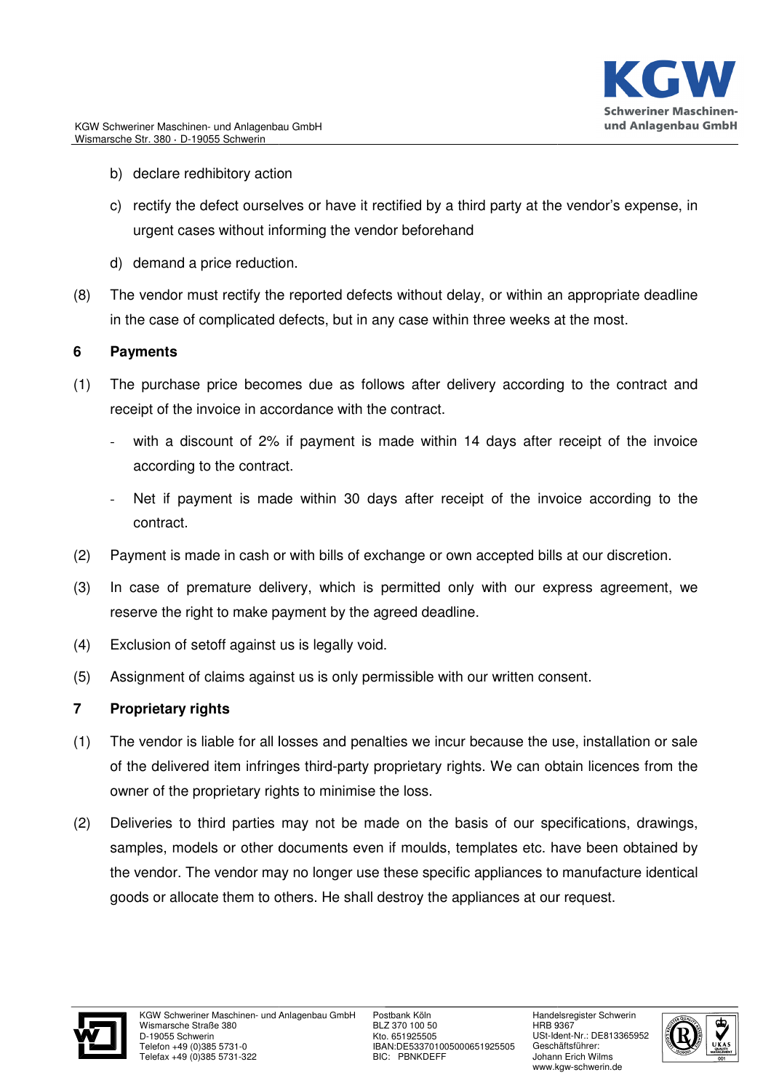- b) declare redhibitory action
- c) rectify the defect ourselves or have it rectified by a third party at the vendor's expense, in urgent cases without informing the vendor beforehand
- d) demand a price reduction.
- (8) The vendor must rectify the reported defects without delay, or within an appropriate deadline in the case of complicated defects, but in any case within three weeks at the most.

## **6 Payments**

- (1) The purchase price becomes due as follows after delivery according to the contract and receipt of the invoice in accordance with the contract.
	- with a discount of 2% if payment is made within 14 days after receipt of the invoice according to the contract.
	- Net if payment is made within 30 days after receipt of the invoice according to the contract.
- (2) Payment is made in cash or with bills of exchange or own accepted bills at our discretion discretion.
- (3) In case of premature delivery, which is permitted only with our express agreement, we reserve the right to make payment by the agreed deadline.
- (4) Exclusion of setoff against us is legally void.
- (5) Assignment of claims against us is only permissible with our written consent consent.

# **7 Proprietary rights**

- (1) The vendor is liable for all losses and penalties we incur because the use, installation or sale of the delivered item infringes third-party proprietary rights. We can obtain licences from the owner of the proprietary rights to minimise the loss.
- (2) Deliveries to third parties may not be made on the basis of our specifications, drawings, samples, models or other documents even if moulds, templates etc. have been obtained by the vendor. The vendor may no longer use these specific appliances to manufacture identical goods or allocate them to others. He shall destroy the appliances at our request.